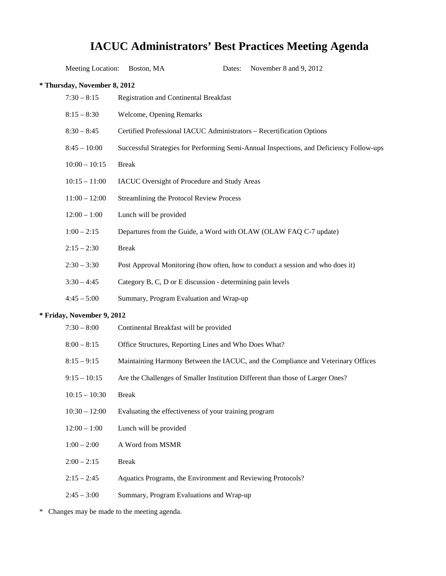# **IACUC Administrators' Best Practices Meeting Agenda**

Meeting Location: Boston, MA Dates: November 8 and 9, 2012

| * Thursday, November 8, 2012 |                                                                                         |
|------------------------------|-----------------------------------------------------------------------------------------|
| $7:30 - 8:15$                | Registration and Continental Breakfast                                                  |
| $8:15 - 8:30$                | Welcome, Opening Remarks                                                                |
| $8:30 - 8:45$                | Certified Professional IACUC Administrators - Recertification Options                   |
| $8:45 - 10:00$               | Successful Strategies for Performing Semi-Annual Inspections, and Deficiency Follow-ups |
| $10:00 - 10:15$              | <b>Break</b>                                                                            |
| $10:15 - 11:00$              | IACUC Oversight of Procedure and Study Areas                                            |
| $11:00 - 12:00$              | Streamlining the Protocol Review Process                                                |
| $12:00 - 1:00$               | Lunch will be provided                                                                  |
| $1:00 - 2:15$                | Departures from the Guide, a Word with OLAW (OLAW FAQ C-7 update)                       |
| $2:15 - 2:30$                | <b>Break</b>                                                                            |
| $2:30 - 3:30$                | Post Approval Monitoring (how often, how to conduct a session and who does it)          |
| $3:30 - 4:45$                | Category B, C, D or E discussion - determining pain levels                              |
| $4:45 - 5:00$                | Summary, Program Evaluation and Wrap-up                                                 |
| * Friday, November 9, 2012   |                                                                                         |
| $7:30 - 8:00$                | Continental Breakfast will be provided                                                  |
| $8:00 - 8:15$                | Office Structures, Reporting Lines and Who Does What?                                   |
| $8:15 - 9:15$                | Maintaining Harmony Between the IACUC, and the Compliance and Veterinary Offices        |
| $9:15 - 10:15$               | Are the Challenges of Smaller Institution Different than those of Larger Ones?          |
| $10:15 - 10:30$              | <b>Break</b>                                                                            |
| $10:30 - 12:00$              | Evaluating the effectiveness of your training program                                   |
| $12:00 - 1:00$               | Lunch will be provided                                                                  |
| $1:00 - 2:00$                | A Word from MSMR                                                                        |
| $2:00 - 2:15$                | <b>Break</b>                                                                            |
| $2:15 - 2:45$                | Aquatics Programs, the Environment and Reviewing Protocols?                             |
| $2:45 - 3:00$                | Summary, Program Evaluations and Wrap-up                                                |

\* Changes may be made to the meeting agenda.